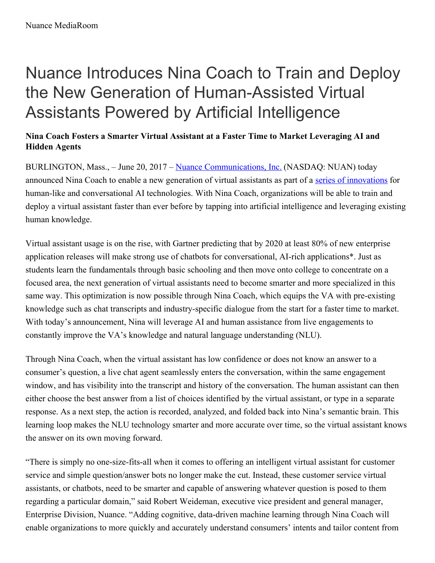## Nuance Introduces Nina Coach to Train and Deploy the New Generation of Human-Assisted Virtual Assistants Powered by Artificial Intelligence

## **Nina Coach Fosters a Smarter Virtual Assistant at a Faster Time to Market Leveraging AI and Hidden Agents**

BURLINGTON, Mass., – June 20, 2017 – Nuance [Communications,](http://www.nuance.com/) Inc. (NASDAQ: NUAN) today announced Nina Coach to enable a new generation of virtual assistants as part of a series of [innovations](https://www.nuance.com/about-us/newsroom/press-releases/nuance-digital-customer-engagement-platform.html) for human-like and conversational AI technologies. With Nina Coach, organizations will be able to train and deploy a virtual assistant faster than ever before by tapping into artificial intelligence and leveraging existing human knowledge.

Virtual assistant usage is on the rise, with Gartner predicting that by 2020 at least 80% of new enterprise application releases will make strong use of chatbots for conversational, AI-rich applications\*. Just as students learn the fundamentals through basic schooling and then move onto college to concentrate on a focused area, the next generation of virtual assistants need to become smarter and more specialized in this same way. This optimization is now possible through Nina Coach, which equips the VA with pre-existing knowledge such as chat transcripts and industry-specific dialogue from the start for a faster time to market. With today's announcement, Nina will leverage AI and human assistance from live engagements to constantly improve the VA's knowledge and natural language understanding (NLU).

Through Nina Coach, when the virtual assistant has low confidence or does not know an answer to a consumer's question, a live chat agent seamlessly enters the conversation, within the same engagement window, and has visibility into the transcript and history of the conversation. The human assistant can then either choose the best answer from a list of choices identified by the virtual assistant, or type in a separate response. As a next step, the action is recorded, analyzed, and folded back into Nina's semantic brain. This learning loop makes the NLU technology smarter and more accurate over time, so the virtual assistant knows the answer on its own moving forward.

"There is simply no one-size-fits-all when it comes to offering an intelligent virtual assistant for customer service and simple question/answer bots no longer make the cut. Instead, these customer service virtual assistants, or chatbots, need to be smarter and capable of answering whatever question is posed to them regarding a particular domain," said Robert Weideman, executive vice president and general manager, Enterprise Division, Nuance. "Adding cognitive, data-driven machine learning through Nina Coach will enable organizations to more quickly and accurately understand consumers' intents and tailor content from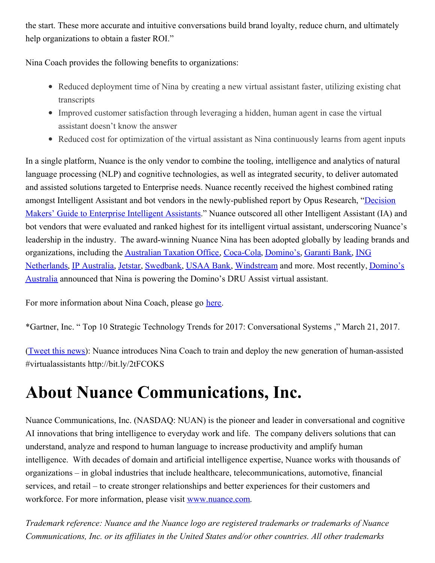the start. These more accurate and intuitive conversations build brand loyalty, reduce churn, and ultimately help organizations to obtain a faster ROI."

Nina Coach provides the following benefits to organizations:

- Reduced deployment time of Nina by creating a new virtual assistant faster, utilizing existing chat transcripts
- Improved customer satisfaction through leveraging a hidden, human agent in case the virtual assistant doesn't know the answer
- Reduced cost for optimization of the virtual assistant as Nina continuously learns from agent inputs

In a single platform, Nuance is the only vendor to combine the tooling, intelligence and analytics of natural language processing (NLP) and cognitive technologies, as well as integrated security, to deliver automated and assisted solutions targeted to Enterprise needs. Nuance recently received the highest combined rating amongst Intelligent Assistant and bot vendors in the [newly-published](http://opusresearch.net/wordpress/2017/02/07/opus-research-report-decision-makers-guide-to-enterprise-intelligent-assistants-2/) report by Opus Research, "Decision Makers' Guide to Enterprise Intelligent Assistants." Nuance outscored all other Intelligent Assistant (IA) and bot vendors that were evaluated and ranked highest for its intelligent virtual assistant, underscoring Nuance's leadership in the industry. The award-winning Nuance Nina has been adopted globally by leading brands and [organizations,](https://www.nuance.com/about-us/newsroom/press-releases/ing-introduces-voice-controlled-app-nuance.html) including the [Australian](https://www.nuance.com/about-us/newsroom/press-releases/ato-launches-nuance-nina-virtual-assistant.html) Taxation Office, [Coca-Cola](https://www.youtube.com/watch?v=GCdoVi-61LU), [Domino's](https://www.nuance.com/about-us/newsroom/press-releases/dominos.html), [Garanti](https://www.nuance.com/about-us/newsroom/press-releases/garanti-bank.html) Bank, ING [Netherlands,](http://www.nuance.com/about-us/newsroom/press-releases/dominos-virtual-assistant-powered-by-nuance.html) IP [Australia](https://www.nuance.com/about-us/newsroom/press-releases/ip-australia-launches-nuance-nina.html), [Jetstar](https://www.nuance.com/about-us/newsroom/press-releases/jetstar.html), [Swedbank](https://www.nuance.com/about-us/newsroom/press-releases/nuance-brings-human-touch-to-swedbank.html), [USAA](https://www.nuance.com/about-us/newsroom/press-releases/usaa-and-nuance-create-savings-coach-virtual-assistant.html) Bank, [Windstream](https://www.youtube.com/watch?v=0PXJ0xbu7nE) and more. Most recently, Domino's Australia announced that Nina is powering the Domino's DRU Assist virtual assistant.

For more information about Nina Coach, please go [here](https://www.nuance.com/omni-channel-customer-engagement/digital/virtual-assistant/nina.html).

\*Gartner, Inc. " Top 10 Strategic Technology Trends for 2017: Conversational Systems ," March 21, 2017.

[\(Tweet](https://ctt.ec/qf14a) this news): Nuance introduces Nina Coach to train and deploy the new generation of human-assisted #virtualassistants http://bit.ly/2tFCOKS

## **About Nuance Communications, Inc.**

Nuance Communications, Inc. (NASDAQ: NUAN) is the pioneer and leader in conversational and cognitive AI innovations that bring intelligence to everyday work and life. The company delivers solutions that can understand, analyze and respond to human language to increase productivity and amplify human intelligence. With decades of domain and artificial intelligence expertise, Nuance works with thousands of organizations – in global industries that include healthcare, telecommunications, automotive, financial services, and retail – to create stronger relationships and better experiences for their customers and workforce. For more information, please visit [www.nuance.com](http://www.nuance.com/).

*Trademark reference: Nuance and the Nuance logo are registered trademarks or trademarks of Nuance Communications, Inc. or its af iliates in the United States and/or other countries. All other trademarks*